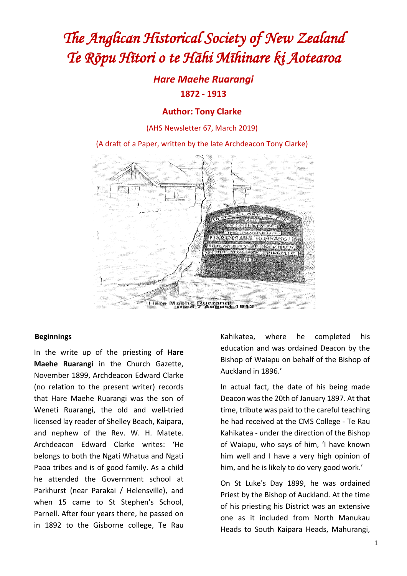# *The Anglican Historical Society of New Zealand Te Rōpu Hītori o te Hāhi Mīhinare ki Aotearoa*

## *Hare Maehe Ruarangi* **1872 - 1913**

## **Author: Tony Clarke**

(AHS Newsletter 67, March 2019)

(A draft of a Paper, written by the late Archdeacon Tony Clarke)



#### **Beginnings**

In the write up of the priesting of **Hare Maehe Ruarangi** in the Church Gazette, November 1899, Archdeacon Edward Clarke (no relation to the present writer) records that Hare Maehe Ruarangi was the son of Weneti Ruarangi, the old and well-tried licensed lay reader of Shelley Beach, Kaipara, and nephew of the Rev. W. H. Matete. Archdeacon Edward Clarke writes: 'He belongs to both the Ngati Whatua and Ngati Paoa tribes and is of good family. As a child he attended the Government school at Parkhurst (near Parakai / Helensville), and when 15 came to St Stephen's School, Parnell. After four years there, he passed on in 1892 to the Gisborne college, Te Rau

Kahikatea, where he completed his education and was ordained Deacon by the Bishop of Waiapu on behalf of the Bishop of Auckland in 1896.'

In actual fact, the date of his being made Deacon was the 20th of January 1897. At that time, tribute was paid to the careful teaching he had received at the CMS College - Te Rau Kahikatea - under the direction of the Bishop of Waiapu, who says of him, 'I have known him well and I have a very high opinion of him, and he is likely to do very good work.'

On St Luke's Day 1899, he was ordained Priest by the Bishop of Auckland. At the time of his priesting his District was an extensive one as it included from North Manukau Heads to South Kaipara Heads, Mahurangi,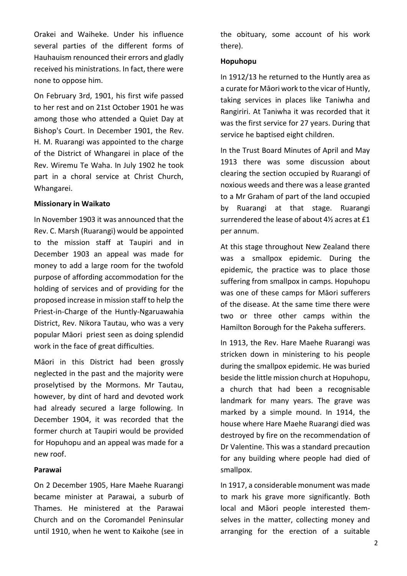Orakei and Waiheke. Under his influence several parties of the different forms of Hauhauism renounced their errors and gladly received his ministrations. In fact, there were none to oppose him.

On February 3rd, 1901, his first wife passed to her rest and on 21st October 1901 he was among those who attended a Quiet Day at Bishop's Court. In December 1901, the Rev. H. M. Ruarangi was appointed to the charge of the District of Whangarei in place of the Rev. Wiremu Te Waha. In July 1902 he took part in a choral service at Christ Church, Whangarei.

#### **Missionary in Waikato**

In November 1903 it was announced that the Rev. C. Marsh (Ruarangi) would be appointed to the mission staff at Taupiri and in December 1903 an appeal was made for money to add a large room for the twofold purpose of affording accommodation for the holding of services and of providing for the proposed increase in mission staff to help the Priest-in-Charge of the Huntly-Ngaruawahia District, Rev. Nikora Tautau, who was a very popular Māori priest seen as doing splendid work in the face of great difficulties.

Māori in this District had been grossly neglected in the past and the majority were proselytised by the Mormons. Mr Tautau, however, by dint of hard and devoted work had already secured a large following. In December 1904, it was recorded that the former church at Taupiri would be provided for Hopuhopu and an appeal was made for a new roof.

#### **Parawai**

On 2 December 1905, Hare Maehe Ruarangi became minister at Parawai, a suburb of Thames. He ministered at the Parawai Church and on the Coromandel Peninsular until 1910, when he went to Kaikohe (see in

the obituary, some account of his work there).

#### **Hopuhopu**

In 1912/13 he returned to the Huntly area as a curate for Māori work to the vicar of Huntly, taking services in places like Taniwha and Rangiriri. At Taniwha it was recorded that it was the first service for 27 years. During that service he baptised eight children.

In the Trust Board Minutes of April and May 1913 there was some discussion about clearing the section occupied by Ruarangi of noxious weeds and there was a lease granted to a Mr Graham of part of the land occupied by Ruarangi at that stage. Ruarangi surrendered the lease of about 4½ acres at £1 per annum.

At this stage throughout New Zealand there was a smallpox epidemic. During the epidemic, the practice was to place those suffering from smallpox in camps. Hopuhopu was one of these camps for Māori sufferers of the disease. At the same time there were two or three other camps within the Hamilton Borough for the Pakeha sufferers.

In 1913, the Rev. Hare Maehe Ruarangi was stricken down in ministering to his people during the smallpox epidemic. He was buried beside the little mission church at Hopuhopu, a church that had been a recognisable landmark for many years. The grave was marked by a simple mound. In 1914, the house where Hare Maehe Ruarangi died was destroyed by fire on the recommendation of Dr Valentine. This was a standard precaution for any building where people had died of smallpox.

In 1917, a considerable monument was made to mark his grave more significantly. Both local and Māori people interested themselves in the matter, collecting money and arranging for the erection of a suitable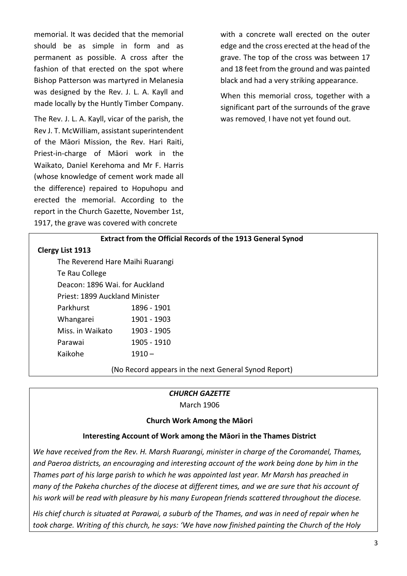memorial. It was decided that the memorial should be as simple in form and as permanent as possible. A cross after the fashion of that erected on the spot where Bishop Patterson was martyred in Melanesia was designed by the Rev. J. L. A. Kayll and made locally by the Huntly Timber Company.

The Rev. J. L. A. Kayll, vicar of the parish, the Rev J. T. McWilliam, assistant superintendent of the Māori Mission, the Rev. Hari Raiti, Priest-in-charge of Māori work in the Waikato, Daniel Kerehoma and Mr F. Harris (whose knowledge of cement work made all the difference) repaired to Hopuhopu and erected the memorial. According to the report in the Church Gazette, November 1st, 1917, the grave was covered with concrete

with a concrete wall erected on the outer edge and the cross erected at the head of the grave. The top of the cross was between 17 and 18 feet from the ground and was painted black and had a very striking appearance.

When this memorial cross, together with a significant part of the surrounds of the grave was removed, I have not yet found out.

| <b>Extract from the Official Records of the 1913 General Synod</b> |  |  |  |
|--------------------------------------------------------------------|--|--|--|
|                                                                    |  |  |  |

#### **Clergy List 1913**

The Reverend Hare Maihi Ruarangi Te Rau College Deacon: 1896 Wai. for Auckland Priest: 1899 Auckland Minister Parkhurst 1896 - 1901 Whangarei 1901 - 1903 Miss. in Waikato 1903 - 1905 Parawai 1905 - 1910 Kaikohe 1910 –

(No Record appears in the next General Synod Report)

#### *CHURCH GAZETTE*

March 1906

#### **Church Work Among the Māori**

## **Interesting Account of Work among the Māori in the Thames District**

*We have received from the Rev. H. Marsh Ruarangi, minister in charge of the Coromandel, Thames, and Paeroa districts, an encouraging and interesting account of the work being done by him in the Thames part of his large parish to which he was appointed last year. Mr Marsh has preached in many of the Pakeha churches of the diocese at different times, and we are sure that his account of his work will be read with pleasure by his many European friends scattered throughout the diocese.*

*His chief church is situated at Parawai, a suburb of the Thames, and was in need of repair when he took charge. Writing of this church, he says: 'We have now finished painting the Church of the Holy*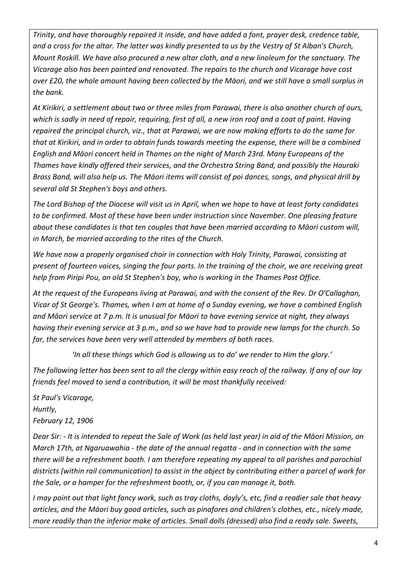*Trinity, and have thoroughly repaired it inside, and have added a font, prayer desk, credence table, and a cross for the altar. The latter was kindly presented to us by the Vestry of St Alban's Church, Mount Roskill. We have also procured a new altar cloth, and a new linoleum for the sanctuary. The Vicarage also has been painted and renovated. The repairs to the church and Vicarage have cost over £20, the whole amount having been collected by the Māori, and we still have a small surplus in the bank.*

*At Kirikiri, a settlement about two or three miles from Parawai, there is also another church of ours, which is sadly in need of repair, requiring, first of all, a new iron roof and a coat of paint. Having repaired the principal church, viz., that at Parawai, we are now making efforts to do the same for that at Kirikiri, and in order to obtain funds towards meeting the expense, there will be a combined English and Māori concert held in Thames on the night of March 23rd. Many Europeans of the Thames have kindly offered their services, and the Orchestra String Band, and possibly the Hauraki Brass Band, will also help us. The Māori items will consist of poi dances, songs, and physical drill by several old St Stephen's boys and others.*

*The Lord Bishop of the Diocese will visit us in April, when we hope to have at least forty candidates to be confirmed. Most of these have been under instruction since November. One pleasing feature about these candidates is that ten couples that have been married according to Māori custom will, in March, be married according to the rites of the Church.*

*We have now a properly organised choir in connection with Holy Trinity, Parawai, consisting at present of fourteen voices, singing the four parts. In the training of the choir, we are receiving great help from Piripi Pou, an old St Stephen's boy, who is working in the Thames Post Office.*

*At the request of the Europeans living at Parawai, and with the consent of the Rev. Dr O'Callaghan, Vicar of St George's. Thames, when I am at home of a Sunday evening, we have a combined English and Māori service at 7 p.m. It is unusual for Māori to have evening service at night, they always having their evening service at 3 p.m., and so we have had to provide new lamps for the church. So far, the services have been very well attended by members of both races.*

*'In all these things which God is allowing us to do' we render to Him the glory.'*

*The following letter has been sent to all the clergy within easy reach of the railway. If any of our lay friends feel moved to send a contribution, it will be most thankfully received:*

*St Paul's Vicarage, Huntly, February 12, 1906*

*Dear Sir: - It is intended to repeat the Sale of Work (as held last year) in aid of the Māori Mission, on March 17th, at Ngaruawahia - the date of the annual regatta - and in connection with the same there will be a refreshment booth. I am therefore repeating my appeal to all parishes and parochial districts (within rail communication) to assist in the object by contributing either a parcel of work for the Sale, or a hamper for the refreshment booth, or, if you can manage it, both.*

*I may point out that light fancy work, such as tray cloths, doyly's, etc, find a readier sale that heavy articles, and the Māori buy good articles, such as pinafores and children's clothes, etc., nicely made, more readily than the inferior make of articles. Small dolls (dressed) also find a ready sale. Sweets,*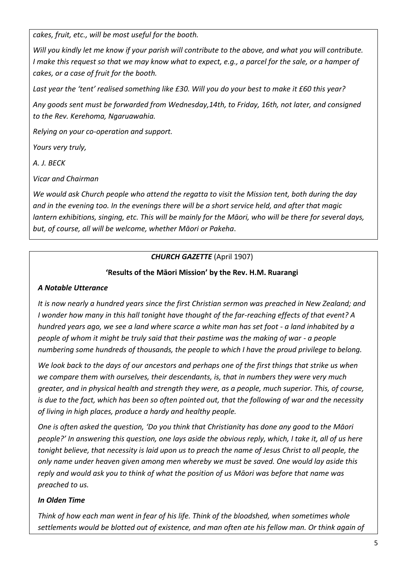*cakes, fruit, etc., will be most useful for the booth.*

*Will you kindly let me know if your parish will contribute to the above, and what you will contribute. I make this request so that we may know what to expect, e.g., a parcel for the sale, or a hamper of cakes, or a case of fruit for the booth.*

*Last year the 'tent' realised something like £30. Will you do your best to make it £60 this year?*

*Any goods sent must be forwarded from Wednesday,14th, to Friday, 16th, not later, and consigned to the Rev. Kerehoma, Ngaruawahia.*

*Relying on your co-operation and support.*

*Yours very truly,*

*A. J. BECK*

*Vicar and Chairman*

*We would ask Church people who attend the regatta to visit the Mission tent, both during the day and in the evening too. In the evenings there will be a short service held, and after that magic lantern exhibitions, singing, etc. This will be mainly for the Māori, who will be there for several days, but, of course, all will be welcome, whether Māori or Pakeha*.

## *CHURCH GAZETTE* (April 1907)

## **'Results of the Māori Mission' by the Rev. H.M. Ruarangi**

## *A Notable Utterance*

*It is now nearly a hundred years since the first Christian sermon was preached in New Zealand; and I wonder how many in this hall tonight have thought of the far-reaching effects of that event? A hundred years ago, we see a land where scarce a white man has set foot - a land inhabited by a people of whom it might be truly said that their pastime was the making of war - a people numbering some hundreds of thousands, the people to which I have the proud privilege to belong.*

*We look back to the days of our ancestors and perhaps one of the first things that strike us when we compare them with ourselves, their descendants, is, that in numbers they were very much greater, and in physical health and strength they were, as a people, much superior. This, of course, is due to the fact, which has been so often pointed out, that the following of war and the necessity of living in high places, produce a hardy and healthy people.*

*One is often asked the question, 'Do you think that Christianity has done any good to the Māori people?' In answering this question, one lays aside the obvious reply, which, I take it, all of us here tonight believe, that necessity is laid upon us to preach the name of Jesus Christ to all people, the only name under heaven given among men whereby we must be saved. One would lay aside this reply and would ask you to think of what the position of us Māori was before that name was preached to us.*

## *In Olden Time*

*Think of how each man went in fear of his life. Think of the bloodshed, when sometimes whole settlements would be blotted out of existence, and man often ate his fellow man. Or think again of*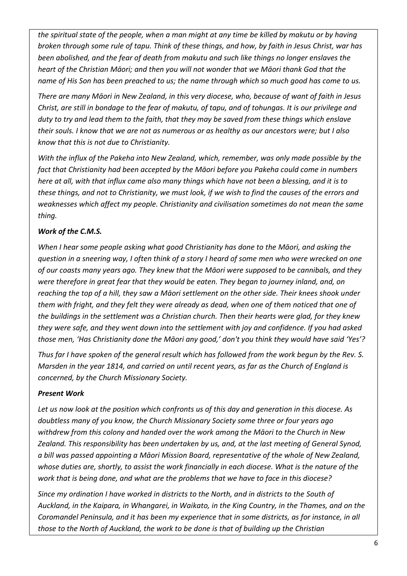*the spiritual state of the people, when a man might at any time be killed by makutu or by having broken through some rule of tapu. Think of these things, and how, by faith in Jesus Christ, war has been abolished, and the fear of death from makutu and such like things no longer enslaves the heart of the Christian Māori; and then you will not wonder that we Māori thank God that the name of His Son has been preached to us; the name through which so much good has come to us.*

*There are many Māori in New Zealand, in this very diocese, who, because of want of faith in Jesus Christ, are still in bondage to the fear of makutu, of tapu, and of tohungas. It is our privilege and duty to try and lead them to the faith, that they may be saved from these things which enslave their souls. I know that we are not as numerous or as healthy as our ancestors were; but I also know that this is not due to Christianity.*

*With the influx of the Pakeha into New Zealand, which, remember, was only made possible by the fact that Christianity had been accepted by the Māori before you Pakeha could come in numbers here at all, with that influx came also many things which have not been a blessing, and it is to these things, and not to Christianity, we must look, if we wish to find the causes of the errors and weaknesses which affect my people. Christianity and civilisation sometimes do not mean the same thing.*

## *Work of the C.M.S.*

*When I hear some people asking what good Christianity has done to the Māori, and asking the question in a sneering way, I often think of a story I heard of some men who were wrecked on one of our coasts many years ago. They knew that the Māori were supposed to be cannibals, and they were therefore in great fear that they would be eaten. They began to journey inland, and, on reaching the top of a hill, they saw a Māori settlement on the other side. Their knees shook under them with fright, and they felt they were already as dead, when one of them noticed that one of the buildings in the settlement was a Christian church. Then their hearts were glad, for they knew they were safe, and they went down into the settlement with joy and confidence. If you had asked those men, 'Has Christianity done the Māori any good,' don't you think they would have said 'Yes'?*

*Thus far I have spoken of the general result which has followed from the work begun by the Rev. S. Marsden in the year 1814, and carried on until recent years, as far as the Church of England is concerned, by the Church Missionary Society.*

## *Present Work*

*Let us now look at the position which confronts us of this day and generation in this diocese. As doubtless many of you know, the Church Missionary Society some three or four years ago withdrew from this colony and handed over the work among the Māori to the Church in New Zealand. This responsibility has been undertaken by us, and, at the last meeting of General Synod, a bill was passed appointing a Māori Mission Board, representative of the whole of New Zealand, whose duties are, shortly, to assist the work financially in each diocese. What is the nature of the work that is being done, and what are the problems that we have to face in this diocese?*

*Since my ordination I have worked in districts to the North, and in districts to the South of Auckland, in the Kaipara, in Whangarei, in Waikato, in the King Country, in the Thames, and on the Coromandel Peninsula, and it has been my experience that in some districts, as for instance, in all those to the North of Auckland, the work to be done is that of building up the Christian*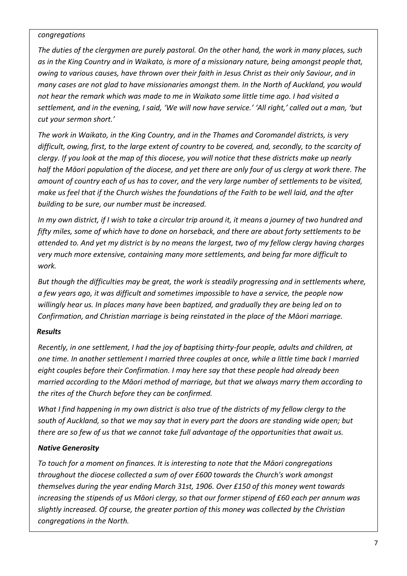#### *congregations*

*The duties of the clergymen are purely pastoral. On the other hand, the work in many places, such as in the King Country and in Waikato, is more of a missionary nature, being amongst people that, owing to various causes, have thrown over their faith in Jesus Christ as their only Saviour, and in many cases are not glad to have missionaries amongst them. In the North of Auckland, you would not hear the remark which was made to me in Waikato some little time ago. I had visited a settlement, and in the evening, I said, 'We will now have service.' 'All right,' called out a man, 'but cut your sermon short.'*

*The work in Waikato, in the King Country, and in the Thames and Coromandel districts, is very difficult, owing, first, to the large extent of country to be covered, and, secondly, to the scarcity of clergy. If you look at the map of this diocese, you will notice that these districts make up nearly half the Māori population of the diocese, and yet there are only four of us clergy at work there. The amount of country each of us has to cover, and the very large number of settlements to be visited, make us feel that if the Church wishes the foundations of the Faith to be well laid, and the after building to be sure, our number must be increased.*

*In my own district, if I wish to take a circular trip around it, it means a journey of two hundred and fifty miles, some of which have to done on horseback, and there are about forty settlements to be attended to. And yet my district is by no means the largest, two of my fellow clergy having charges very much more extensive, containing many more settlements, and being far more difficult to work.*

*But though the difficulties may be great, the work is steadily progressing and in settlements where, a few years ago, it was difficult and sometimes impossible to have a service, the people now willingly hear us. In places many have been baptized, and gradually they are being led on to Confirmation, and Christian marriage is being reinstated in the place of the Māori marriage.*

## *Results*

*Recently, in one settlement, I had the joy of baptising thirty-four people, adults and children, at one time. In another settlement I married three couples at once, while a little time back I married eight couples before their Confirmation. I may here say that these people had already been married according to the Māori method of marriage, but that we always marry them according to the rites of the Church before they can be confirmed.*

*What I find happening in my own district is also true of the districts of my fellow clergy to the south of Auckland, so that we may say that in every part the doors are standing wide open; but there are so few of us that we cannot take full advantage of the opportunities that await us.*

## *Native Generosity*

*To touch for a moment on finances. It is interesting to note that the Māori congregations throughout the diocese collected a sum of over £600 towards the Church's work amongst themselves during the year ending March 31st, 1906. Over £150 of this money went towards increasing the stipends of us Māori clergy, so that our former stipend of £60 each per annum was slightly increased. Of course, the greater portion of this money was collected by the Christian congregations in the North.*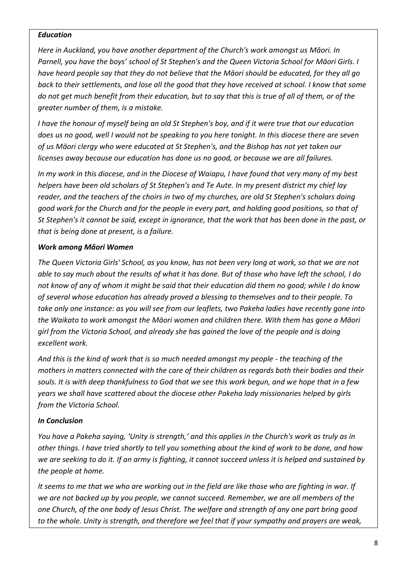#### *Education*

*Here in Auckland, you have another department of the Church's work amongst us Māori. In Parnell, you have the boys' school of St Stephen's and the Queen Victoria School for Māori Girls. I have heard people say that they do not believe that the Māori should be educated, for they all go back to their settlements, and lose all the good that they have received at school. I know that some do not get much benefit from their education, but to say that this is true of all of them, or of the greater number of them, is a mistake.*

*I have the honour of myself being an old St Stephen's boy, and if it were true that our education does us no good, well I would not be speaking to you here tonight. In this diocese there are seven of us Māori clergy who were educated at St Stephen's, and the Bishop has not yet taken our licenses away because our education has done us no good, or because we are all failures.* 

*In my work in this diocese, and in the Diocese of Waiapu, I have found that very many of my best helpers have been old scholars of St Stephen's and Te Aute. In my present district my chief lay reader, and the teachers of the choirs in two of my churches, are old St Stephen's scholars doing good work for the Church and for the people in every part, and holding good positions, so that of St Stephen's it cannot be said, except in ignorance, that the work that has been done in the past, or that is being done at present, is a failure.*

## *Work among Māori Women*

*The Queen Victoria Girls' School, as you know, has not been very long at work, so that we are not able to say much about the results of what it has done. But of those who have left the school, I do not know of any of whom it might be said that their education did them no good; while I do know of several whose education has already proved a blessing to themselves and to their people. To take only one instance: as you will see from our leaflets, two Pakeha ladies have recently gone into the Waikato to work amongst the Māori women and children there. With them has gone a Māori girl from the Victoria School, and already she has gained the love of the people and is doing excellent work.*

*And this is the kind of work that is so much needed amongst my people - the teaching of the mothers in matters connected with the care of their children as regards both their bodies and their souls. It is with deep thankfulness to God that we see this work begun, and we hope that in a few years we shall have scattered about the diocese other Pakeha lady missionaries helped by girls from the Victoria School.*

## *In Conclusion*

*You have a Pakeha saying, 'Unity is strength,' and this applies in the Church's work as truly as in other things. I have tried shortly to tell you something about the kind of work to be done, and how we are seeking to do it. If an army is fighting, it cannot succeed unless it is helped and sustained by the people at home.*

*It seems to me that we who are working out in the field are like those who are fighting in war. If we are not backed up by you people, we cannot succeed. Remember, we are all members of the one Church, of the one body of Jesus Christ. The welfare and strength of any one part bring good to the whole. Unity is strength, and therefore we feel that if your sympathy and prayers are weak,*